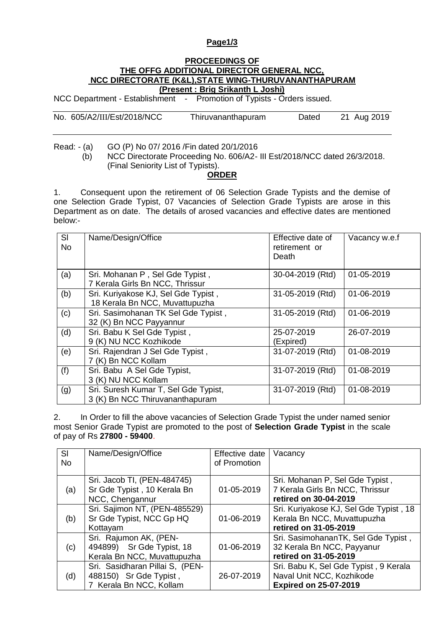## **Page1/3**

## **PROCEEDINGS OF THE OFFG ADDITIONAL DIRECTOR GENERAL NCC, NCC DIRECTORATE (K&L),STATE WING-THURUVANANTHAPURAM (Present : Brig Srikanth L Joshi)**

NCC Department - Establishment - Promotion of Typists - Orders issued.

| No. 605/A2/III/Est/2018/NCC | Thiruvananthapuram | Dated | 21 Aug 2019 |
|-----------------------------|--------------------|-------|-------------|
|                             |                    |       |             |

Read: - (a) GO (P) No 07/ 2016 /Fin dated 20/1/2016

(b) NCC Directorate Proceeding No. 606/A2- III Est/2018/NCC dated 26/3/2018. (Final Seniority List of Typists).

## **ORDER**

1. Consequent upon the retirement of 06 Selection Grade Typists and the demise of one Selection Grade Typist, 07 Vacancies of Selection Grade Typists are arose in this Department as on date. The details of arosed vacancies and effective dates are mentioned below:-

| <b>SI</b><br><b>No</b> | Name/Design/Office                                                      | Effective date of<br>retirement or<br>Death | Vacancy w.e.f |
|------------------------|-------------------------------------------------------------------------|---------------------------------------------|---------------|
| (a)                    | Sri. Mohanan P, Sel Gde Typist,<br>7 Kerala Girls Bn NCC, Thrissur      | 30-04-2019 (Rtd)                            | 01-05-2019    |
| (b)                    | Sri. Kuriyakose KJ, Sel Gde Typist,<br>18 Kerala Bn NCC, Muvattupuzha   | 31-05-2019 (Rtd)                            | 01-06-2019    |
| (c)                    | Sri. Sasimohanan TK Sel Gde Typist,<br>32 (K) Bn NCC Payyannur          | 31-05-2019 (Rtd)                            | 01-06-2019    |
| (d)                    | Sri. Babu K Sel Gde Typist,<br>9 (K) NU NCC Kozhikode                   | 25-07-2019<br>(Expired)                     | 26-07-2019    |
| (e)                    | Sri. Rajendran J Sel Gde Typist,<br>7 (K) Bn NCC Kollam                 | 31-07-2019 (Rtd)                            | 01-08-2019    |
| (f)                    | Sri. Babu A Sel Gde Typist,<br>3 (K) NU NCC Kollam                      | 31-07-2019 (Rtd)                            | 01-08-2019    |
| (g)                    | Sri. Suresh Kumar T, Sel Gde Typist,<br>3 (K) Bn NCC Thiruvananthapuram | 31-07-2019 (Rtd)                            | 01-08-2019    |

2. In Order to fill the above vacancies of Selection Grade Typist the under named senior most Senior Grade Typist are promoted to the post of **Selection Grade Typist** in the scale of pay of Rs **27800 - 59400**.

| SI<br><b>No</b> | Name/Design/Office                                                                   | Effective date<br>of Promotion | Vacancy                                                                                            |
|-----------------|--------------------------------------------------------------------------------------|--------------------------------|----------------------------------------------------------------------------------------------------|
| (a)             | Sri. Jacob TI, (PEN-484745)<br>Sr Gde Typist, 10 Kerala Bn<br>NCC, Chengannur        | 01-05-2019                     | Sri. Mohanan P, Sel Gde Typist,<br>7 Kerala Girls Bn NCC, Thrissur<br>retired on 30-04-2019        |
| (b)             | Sri. Sajimon NT, (PEN-485529)<br>Sr Gde Typist, NCC Gp HQ<br>Kottayam                | 01-06-2019                     | Sri. Kuriyakose KJ, Sel Gde Typist, 18<br>Kerala Bn NCC, Muvattupuzha<br>retired on 31-05-2019     |
| (c)             | Sri. Rajumon AK, (PEN-<br>494899) Sr Gde Typist, 18<br>Kerala Bn NCC, Muvattupuzha   | 01-06-2019                     | Sri. SasimohananTK, Sel Gde Typist,<br>32 Kerala Bn NCC, Payyanur<br>retired on 31-05-2019         |
| (d)             | Sri. Sasidharan Pillai S, (PEN-<br>488150) Sr Gde Typist,<br>7 Kerala Bn NCC, Kollam | 26-07-2019                     | Sri. Babu K, Sel Gde Typist, 9 Kerala<br>Naval Unit NCC, Kozhikode<br><b>Expired on 25-07-2019</b> |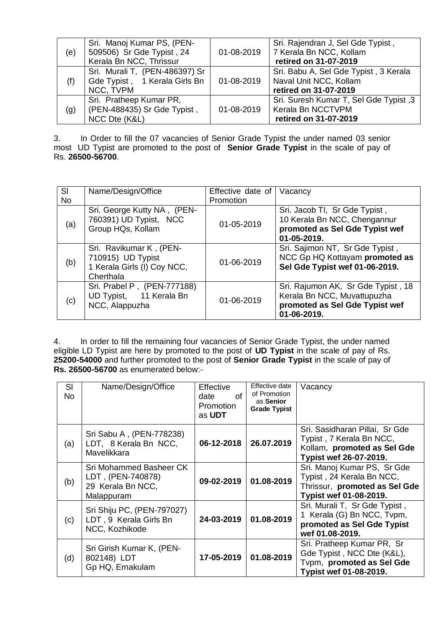| (e) | Sri. Manoj Kumar PS, (PEN-<br>509506) Sr Gde Typist, 24<br>Kerala Bn NCC, Thrissur | 01-08-2019 | Sri. Rajendran J, Sel Gde Typist,<br>7 Kerala Bn NCC, Kollam<br>retired on 31-07-2019    |
|-----|------------------------------------------------------------------------------------|------------|------------------------------------------------------------------------------------------|
| (f) | Sri. Murali T, (PEN-486397) Sr<br>Gde Typist, 1 Kerala Girls Bn<br>NCC, TVPM       | 01-08-2019 | Sri. Babu A, Sel Gde Typist, 3 Kerala<br>Naval Unit NCC, Kollam<br>retired on 31-07-2019 |
| (g) | Sri. Pratheep Kumar PR,<br>(PEN-488435) Sr Gde Typist,<br>NCC Dte (K&L)            | 01-08-2019 | Sri. Suresh Kumar T, Sel Gde Typist, 3<br>Kerala Bn NCCTVPM<br>retired on 31-07-2019     |

3. In Order to fill the 07 vacancies of Senior Grade Typist the under named 03 senior most UD Typist are promoted to the post of **Senior Grade Typist** in the scale of pay of Rs. **26500-56700**.

| SI        | Name/Design/Office                                                                       | Effective date of   Vacancy |                                                                                                                    |
|-----------|------------------------------------------------------------------------------------------|-----------------------------|--------------------------------------------------------------------------------------------------------------------|
| <b>No</b> |                                                                                          | Promotion                   |                                                                                                                    |
| (a)       | Sri. George Kutty NA, (PEN-<br>760391) UD Typist, NCC<br>Group HQs, Kollam               | 01-05-2019                  | Sri. Jacob TI, Sr Gde Typist,<br>10 Kerala Bn NCC, Chengannur<br>promoted as Sel Gde Typist wef<br>01-05-2019.     |
| (b)       | Sri. Ravikumar K, (PEN-<br>710915) UD Typist<br>1 Kerala Girls (I) Coy NCC,<br>Cherthala | 01-06-2019                  | Sri. Sajimon NT, Sr Gde Typist,<br>NCC Gp HQ Kottayam promoted as<br>Sel Gde Typist wef 01-06-2019.                |
| (c)       | Sri. Prabel P, (PEN-777188)<br>UD Typist, 11 Kerala Bn<br>NCC, Alappuzha                 | 01-06-2019                  | Sri. Rajumon AK, Sr Gde Typist, 18<br>Kerala Bn NCC, Muvattupuzha<br>promoted as Sel Gde Typist wef<br>01-06-2019. |

4. In order to fill the remaining four vacancies of Senior Grade Typist, the under named eligible LD Typist are here by promoted to the post of **UD Typist** in the scale of pay of Rs. **25200-54000** and further promoted to the post of **Senior Grade Typist** in the scale of pay of **Rs. 26500-56700** as enumerated below:-

| SI<br>No. | Name/Design/Office                                                              | <b>Effective</b><br>Ωf<br>date<br>Promotion<br>as UDT | Effective date<br>of Promotion<br>as Senior<br><b>Grade Typist</b> | Vacancy                                                                                                             |
|-----------|---------------------------------------------------------------------------------|-------------------------------------------------------|--------------------------------------------------------------------|---------------------------------------------------------------------------------------------------------------------|
| (a)       | Sri Sabu A, (PEN-778238)<br>LDT, 8 Kerala Bn NCC,<br>Mavelikkara                | 06-12-2018                                            | 26.07.2019                                                         | Sri. Sasidharan Pillai, Sr Gde<br>Typist, 7 Kerala Bn NCC,<br>Kollam, promoted as Sel Gde<br>Typist wef 26-07-2019. |
| (b)       | Sri Mohammed Basheer CK<br>LDT, (PEN-740878)<br>29 Kerala Bn NCC,<br>Malappuram | 09-02-2019                                            | 01.08-2019                                                         | Sri. Manoj Kumar PS, Sr Gde<br>Typist, 24 Kerala Bn NCC,<br>Thrissur, promoted as Sel Gde<br>Typist wef 01-08-2019. |
| (c)       | Sri Shiju PC, (PEN-797027)<br>LDT, 9 Kerala Girls Bn<br>NCC, Kozhikode          | 24-03-2019                                            | 01.08-2019                                                         | Sri. Murali T, Sr Gde Typist,<br>1 Kerala (G) Bn NCC, Tvpm,<br>promoted as Sel Gde Typist<br>wef 01.08-2019.        |
| (d)       | Sri Girish Kumar K, (PEN-<br>802148) LDT<br>Gp HQ, Ernakulam                    | 17-05-2019                                            | 01.08-2019                                                         | Sri. Pratheep Kumar PR, Sr<br>Gde Typist, NCC Dte (K&L),<br>Tvpm, promoted as Sel Gde<br>Typist wef 01-08-2019.     |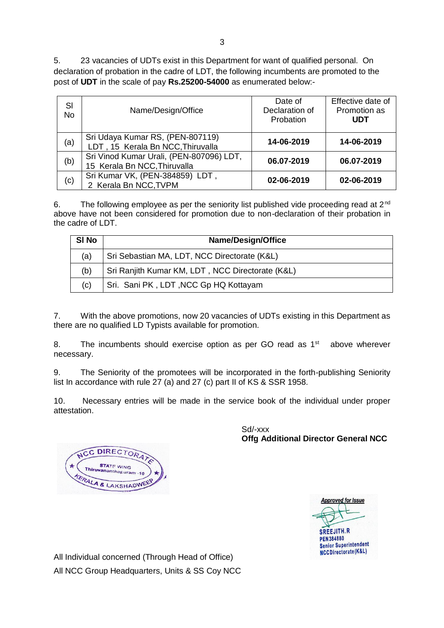5. 23 vacancies of UDTs exist in this Department for want of qualified personal. On declaration of probation in the cadre of LDT, the following incumbents are promoted to the post of **UDT** in the scale of pay **Rs.25200-54000** as enumerated below:-

| SI<br><b>No</b> | Name/Design/Office                                                       | Date of<br>Declaration of<br>Probation | Effective date of<br>Promotion as<br><b>UDT</b> |
|-----------------|--------------------------------------------------------------------------|----------------------------------------|-------------------------------------------------|
| (a)             | Sri Udaya Kumar RS, (PEN-807119)<br>LDT, 15 Kerala Bn NCC, Thiruvalla    | 14-06-2019                             | 14-06-2019                                      |
| (b)             | Sri Vinod Kumar Urali, (PEN-807096) LDT,<br>15 Kerala Bn NCC, Thiruvalla | 06.07-2019                             | 06.07-2019                                      |
| (c)             | Sri Kumar VK, (PEN-384859) LDT,<br>2 Kerala Bn NCC, TVPM                 | 02-06-2019                             | 02-06-2019                                      |

6. The following employee as per the seniority list published vide proceeding read at  $2^{nd}$ above have not been considered for promotion due to non-declaration of their probation in the cadre of LDT.

| SI No | <b>Name/Design/Office</b>                        |
|-------|--------------------------------------------------|
| (a)   | Sri Sebastian MA, LDT, NCC Directorate (K&L)     |
| (b)   | Sri Ranjith Kumar KM, LDT, NCC Directorate (K&L) |
| (c)   | Sri. Sani PK, LDT, NCC Gp HQ Kottayam            |

7. With the above promotions, now 20 vacancies of UDTs existing in this Department as there are no qualified LD Typists available for promotion.

8. The incumbents should exercise option as per GO read as  $1<sup>st</sup>$  above wherever necessary.

9. The Seniority of the promotees will be incorporated in the forth-publishing Seniority list In accordance with rule 27 (a) and 27 (c) part II of KS & SSR 1958.

10. Necessary entries will be made in the service book of the individual under proper attestation.

> Sd/-xxx **Offg Additional Director General NCC**



CC DIRECTOR **STATE WING** ananthapuram PALA & LAKSHADWEET

All Individual concerned (Through Head of Office) All NCC Group Headquarters, Units & SS Coy NCC